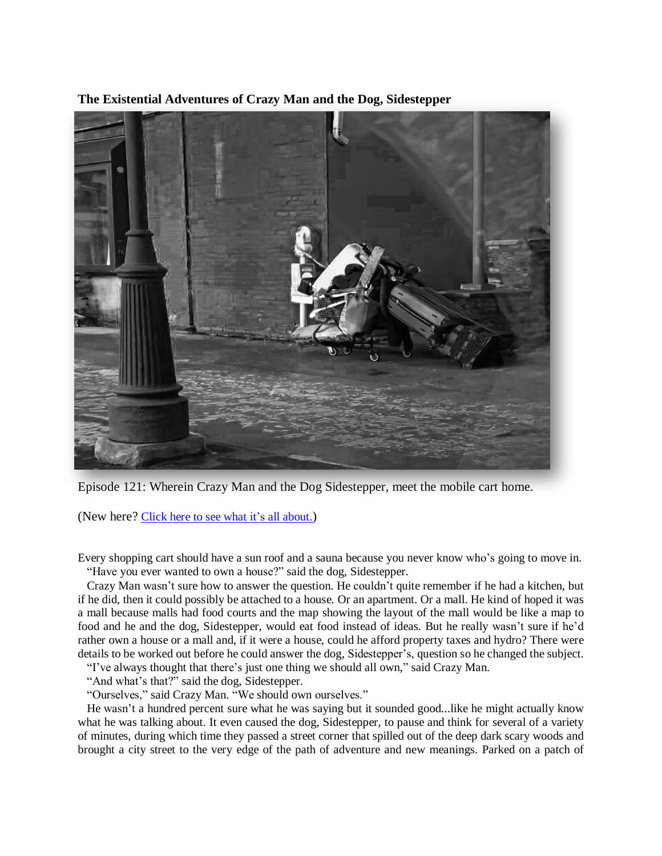**The Existential Adventures of Crazy Man and the Dog, Sidestepper**



Episode 121: Wherein Crazy Man and the Dog Sidestepper, meet the mobile cart home.

(New here? Click here to see what it's all [about.](https://biffmitchell.com/crazy-man))

Every shopping cart should have a sun roof and a sauna because you never know who's going to move in. "Have you ever wanted to own a house?" said the dog, Sidestepper.

 Crazy Man wasn't sure how to answer the question. He couldn't quite remember if he had a kitchen, but if he did, then it could possibly be attached to a house. Or an apartment. Or a mall. He kind of hoped it was a mall because malls had food courts and the map showing the layout of the mall would be like a map to food and he and the dog, Sidestepper, would eat food instead of ideas. But he really wasn't sure if he'd rather own a house or a mall and, if it were a house, could he afford property taxes and hydro? There were details to be worked out before he could answer the dog, Sidestepper's, question so he changed the subject.

"I've always thought that there's just one thing we should all own," said Crazy Man.

"And what's that?" said the dog, Sidestepper.

"Ourselves," said Crazy Man. "We should own ourselves."

 He wasn't a hundred percent sure what he was saying but it sounded good...like he might actually know what he was talking about. It even caused the dog, Sidestepper, to pause and think for several of a variety of minutes, during which time they passed a street corner that spilled out of the deep dark scary woods and brought a city street to the very edge of the path of adventure and new meanings. Parked on a patch of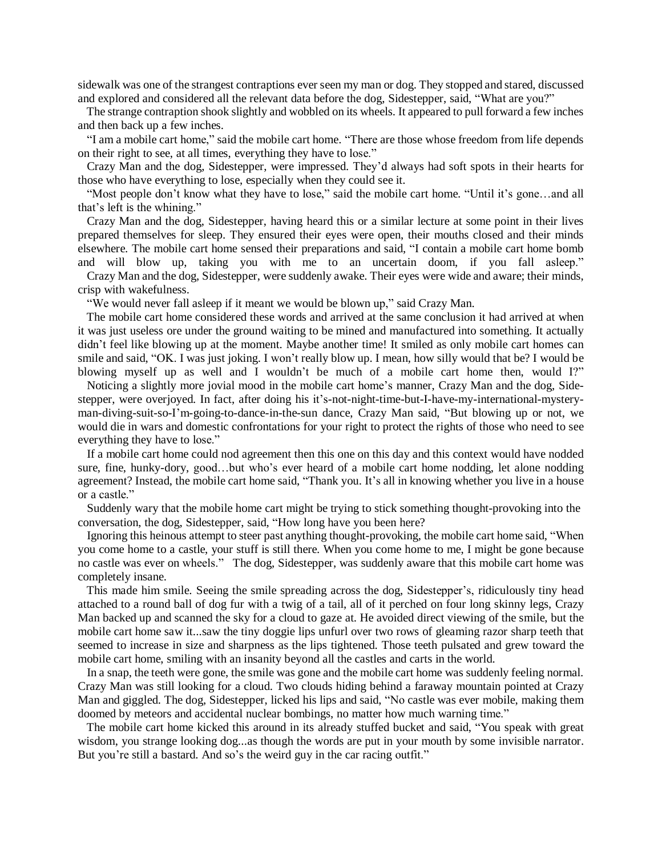sidewalk was one of the strangest contraptions ever seen my man or dog. They stopped and stared, discussed and explored and considered all the relevant data before the dog, Sidestepper, said, "What are you?"

 The strange contraption shook slightly and wobbled on its wheels. It appeared to pull forward a few inches and then back up a few inches.

 "I am a mobile cart home," said the mobile cart home. "There are those whose freedom from life depends on their right to see, at all times, everything they have to lose."

 Crazy Man and the dog, Sidestepper, were impressed. They'd always had soft spots in their hearts for those who have everything to lose, especially when they could see it.

 "Most people don't know what they have to lose," said the mobile cart home. "Until it's gone…and all that's left is the whining."

 Crazy Man and the dog, Sidestepper, having heard this or a similar lecture at some point in their lives prepared themselves for sleep. They ensured their eyes were open, their mouths closed and their minds elsewhere. The mobile cart home sensed their preparations and said, "I contain a mobile cart home bomb and will blow up, taking you with me to an uncertain doom, if you fall asleep."

 Crazy Man and the dog, Sidestepper, were suddenly awake. Their eyes were wide and aware; their minds, crisp with wakefulness.

"We would never fall asleep if it meant we would be blown up," said Crazy Man.

 The mobile cart home considered these words and arrived at the same conclusion it had arrived at when it was just useless ore under the ground waiting to be mined and manufactured into something. It actually didn't feel like blowing up at the moment. Maybe another time! It smiled as only mobile cart homes can smile and said, "OK. I was just joking. I won't really blow up. I mean, how silly would that be? I would be blowing myself up as well and I wouldn't be much of a mobile cart home then, would I?"

 Noticing a slightly more jovial mood in the mobile cart home's manner, Crazy Man and the dog, Sidestepper, were overjoyed. In fact, after doing his it's-not-night-time-but-I-have-my-international-mysteryman-diving-suit-so-I'm-going-to-dance-in-the-sun dance, Crazy Man said, "But blowing up or not, we would die in wars and domestic confrontations for your right to protect the rights of those who need to see everything they have to lose."

 If a mobile cart home could nod agreement then this one on this day and this context would have nodded sure, fine, hunky-dory, good…but who's ever heard of a mobile cart home nodding, let alone nodding agreement? Instead, the mobile cart home said, "Thank you. It's all in knowing whether you live in a house or a castle."

 Suddenly wary that the mobile home cart might be trying to stick something thought-provoking into the conversation, the dog, Sidestepper, said, "How long have you been here?

 Ignoring this heinous attempt to steer past anything thought-provoking, the mobile cart home said, "When you come home to a castle, your stuff is still there. When you come home to me, I might be gone because no castle was ever on wheels." The dog, Sidestepper, was suddenly aware that this mobile cart home was completely insane.

 This made him smile. Seeing the smile spreading across the dog, Sidestepper's, ridiculously tiny head attached to a round ball of dog fur with a twig of a tail, all of it perched on four long skinny legs, Crazy Man backed up and scanned the sky for a cloud to gaze at. He avoided direct viewing of the smile, but the mobile cart home saw it...saw the tiny doggie lips unfurl over two rows of gleaming razor sharp teeth that seemed to increase in size and sharpness as the lips tightened. Those teeth pulsated and grew toward the mobile cart home, smiling with an insanity beyond all the castles and carts in the world.

 In a snap, the teeth were gone, the smile was gone and the mobile cart home was suddenly feeling normal. Crazy Man was still looking for a cloud. Two clouds hiding behind a faraway mountain pointed at Crazy Man and giggled. The dog, Sidestepper, licked his lips and said, "No castle was ever mobile, making them doomed by meteors and accidental nuclear bombings, no matter how much warning time."

 The mobile cart home kicked this around in its already stuffed bucket and said, "You speak with great wisdom, you strange looking dog...as though the words are put in your mouth by some invisible narrator. But you're still a bastard. And so's the weird guy in the car racing outfit."